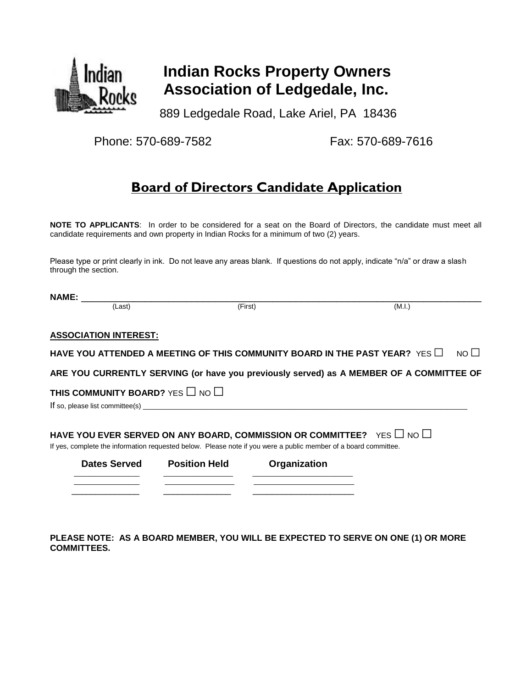

# **Indian Rocks Property Owners Association of Ledgedale, Inc.**

889 Ledgedale Road, Lake Ariel, PA 18436

Phone: 570-689-7582 Fax: 570-689-7616

## **Board of Directors Candidate Application**

**NOTE TO APPLICANTS**: In order to be considered for a seat on the Board of Directors, the candidate must meet all candidate requirements and own property in Indian Rocks for a minimum of two (2) years.

Please type or print clearly in ink. Do not leave any areas blank. If questions do not apply, indicate "n/a" or draw a slash through the section.

| <b>NAME:</b>                                                                                                                                                                                        |                      |              |                                                                                         |             |
|-----------------------------------------------------------------------------------------------------------------------------------------------------------------------------------------------------|----------------------|--------------|-----------------------------------------------------------------------------------------|-------------|
| (Last)                                                                                                                                                                                              |                      | (First)      | (M.I.)                                                                                  |             |
|                                                                                                                                                                                                     |                      |              |                                                                                         |             |
| <b>ASSOCIATION INTEREST:</b>                                                                                                                                                                        |                      |              |                                                                                         |             |
| HAVE YOU ATTENDED A MEETING OF THIS COMMUNITY BOARD IN THE PAST YEAR? YES $\Box$                                                                                                                    |                      |              |                                                                                         | $NO$ $\Box$ |
|                                                                                                                                                                                                     |                      |              | ARE YOU CURRENTLY SERVING (or have you previously served) as A MEMBER OF A COMMITTEE OF |             |
| THIS COMMUNITY BOARD? YES $\Box$ NO $\Box$                                                                                                                                                          |                      |              |                                                                                         |             |
|                                                                                                                                                                                                     |                      |              |                                                                                         |             |
| HAVE YOU EVER SERVED ON ANY BOARD, COMMISSION OR COMMITTEE? YES $\Box$ NO $\Box$<br>If yes, complete the information requested below. Please note if you were a public member of a board committee. |                      |              |                                                                                         |             |
| Dates Served                                                                                                                                                                                        | <b>Position Held</b> | Organization |                                                                                         |             |
|                                                                                                                                                                                                     |                      |              |                                                                                         |             |
|                                                                                                                                                                                                     |                      |              |                                                                                         |             |

**PLEASE NOTE: AS A BOARD MEMBER, YOU WILL BE EXPECTED TO SERVE ON ONE (1) OR MORE COMMITTEES.**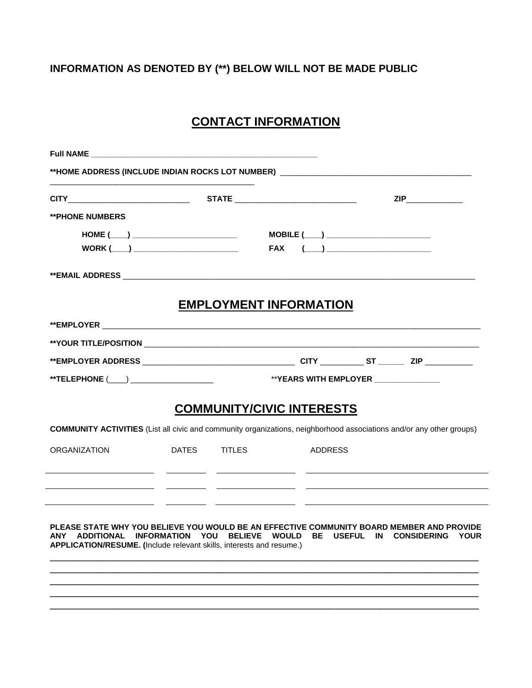### **INFORMATION AS DENOTED BY (\*\*) BELOW WILL NOT BE MADE PUBLIC**

### **CONTACT INFORMATION**

|                                                                                                                                                                                                                                                 |                                                                                                                                                                                                                                                                                                                                                                                                        |                                  |                                                                                                               | <b>ZIP</b> |
|-------------------------------------------------------------------------------------------------------------------------------------------------------------------------------------------------------------------------------------------------|--------------------------------------------------------------------------------------------------------------------------------------------------------------------------------------------------------------------------------------------------------------------------------------------------------------------------------------------------------------------------------------------------------|----------------------------------|---------------------------------------------------------------------------------------------------------------|------------|
| <b>**PHONE NUMBERS</b>                                                                                                                                                                                                                          |                                                                                                                                                                                                                                                                                                                                                                                                        |                                  |                                                                                                               |            |
|                                                                                                                                                                                                                                                 | $HOME (\_\_) \_\_$<br>$WORK$ $\begin{picture}(150,10) \put(0,0){\dashbox{0.5}(10,0){ }} \put(150,0){\circle{10}} \put(150,0){\circle{10}} \put(150,0){\circle{10}} \put(150,0){\circle{10}} \put(150,0){\circle{10}} \put(150,0){\circle{10}} \put(150,0){\circle{10}} \put(150,0){\circle{10}} \put(150,0){\circle{10}} \put(150,0){\circle{10}} \put(150,0){\circle{10}} \put(150,0){\circle{10}} \$ |                                  | $\text{MOBILE} (\_\_) \_\_$<br>$FAX \qquad (\underline{\hspace{1cm}}) \qquad \qquad \underline{\hspace{1cm}}$ |            |
|                                                                                                                                                                                                                                                 |                                                                                                                                                                                                                                                                                                                                                                                                        |                                  |                                                                                                               |            |
|                                                                                                                                                                                                                                                 |                                                                                                                                                                                                                                                                                                                                                                                                        | <b>EMPLOYMENT INFORMATION</b>    |                                                                                                               |            |
|                                                                                                                                                                                                                                                 |                                                                                                                                                                                                                                                                                                                                                                                                        |                                  |                                                                                                               |            |
|                                                                                                                                                                                                                                                 |                                                                                                                                                                                                                                                                                                                                                                                                        |                                  |                                                                                                               |            |
|                                                                                                                                                                                                                                                 |                                                                                                                                                                                                                                                                                                                                                                                                        |                                  |                                                                                                               |            |
|                                                                                                                                                                                                                                                 |                                                                                                                                                                                                                                                                                                                                                                                                        |                                  |                                                                                                               |            |
|                                                                                                                                                                                                                                                 |                                                                                                                                                                                                                                                                                                                                                                                                        | <b>COMMUNITY/CIVIC INTERESTS</b> |                                                                                                               |            |
| <b>COMMUNITY ACTIVITIES</b> (List all civic and community organizations, neighborhood associations and/or any other groups)                                                                                                                     |                                                                                                                                                                                                                                                                                                                                                                                                        |                                  |                                                                                                               |            |
| <b>ORGANIZATION</b>                                                                                                                                                                                                                             |                                                                                                                                                                                                                                                                                                                                                                                                        | DATES TITLES                     | ADDRESS                                                                                                       |            |
|                                                                                                                                                                                                                                                 |                                                                                                                                                                                                                                                                                                                                                                                                        |                                  |                                                                                                               |            |
|                                                                                                                                                                                                                                                 |                                                                                                                                                                                                                                                                                                                                                                                                        |                                  |                                                                                                               |            |
|                                                                                                                                                                                                                                                 |                                                                                                                                                                                                                                                                                                                                                                                                        |                                  |                                                                                                               |            |
|                                                                                                                                                                                                                                                 |                                                                                                                                                                                                                                                                                                                                                                                                        |                                  |                                                                                                               |            |
| PLEASE STATE WHY YOU BELIEVE YOU WOULD BE AN EFFECTIVE COMMUNITY BOARD MEMBER AND PROVIDE<br>ANY ADDITIONAL INFORMATION YOU BELIEVE WOULD BE USEFUL IN CONSIDERING YOUR<br>APPLICATION/RESUME. (Include relevant skills, interests and resume.) |                                                                                                                                                                                                                                                                                                                                                                                                        |                                  |                                                                                                               |            |